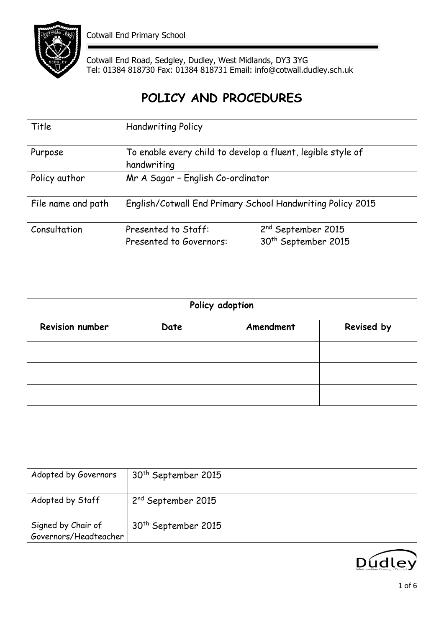

Cotwall End Road, Sedgley, Dudley, West Midlands, DY3 3YG Tel: 01384 818730 Fax: 01384 818731 Email: info@cotwall.dudley.sch.uk

# **POLICY AND PROCEDURES**

| Title              | <b>Handwriting Policy</b>                                                  |                                                                   |  |
|--------------------|----------------------------------------------------------------------------|-------------------------------------------------------------------|--|
| Purpose            | To enable every child to develop a fluent, legible style of<br>handwriting |                                                                   |  |
| Policy author      | Mr A Sagar - English Co-ordinator                                          |                                                                   |  |
| File name and path | English/Cotwall End Primary School Handwriting Policy 2015                 |                                                                   |  |
| Consultation       | Presented to Staff:<br>Presented to Governors:                             | 2 <sup>nd</sup> September 2015<br>30 <sup>th</sup> September 2015 |  |

| Policy adoption |      |           |            |
|-----------------|------|-----------|------------|
| Revision number | Date | Amendment | Revised by |
|                 |      |           |            |
|                 |      |           |            |
|                 |      |           |            |

| Adopted by Governors                        | 30 <sup>th</sup> September 2015 |
|---------------------------------------------|---------------------------------|
| Adopted by Staff                            | 2 <sup>nd</sup> September 2015  |
| Signed by Chair of<br>Governors/Headteacher | 30 <sup>th</sup> September 2015 |

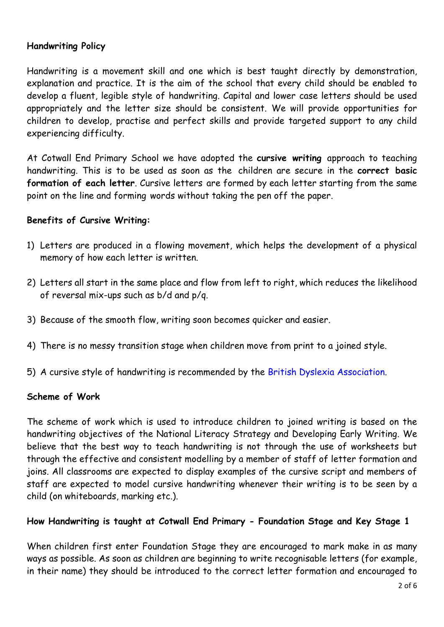## **Handwriting Policy**

Handwriting is a movement skill and one which is best taught directly by demonstration, explanation and practice. It is the aim of the school that every child should be enabled to develop a fluent, legible style of handwriting. Capital and lower case letters should be used appropriately and the letter size should be consistent. We will provide opportunities for children to develop, practise and perfect skills and provide targeted support to any child experiencing difficulty.

At Cotwall End Primary School we have adopted the **cursive writing** approach to teaching handwriting. This is to be used as soon as the children are secure in the **correct basic formation of each letter**. Cursive letters are formed by each letter starting from the same point on the line and forming words without taking the pen off the paper.

### **Benefits of Cursive Writing:**

- 1) Letters are produced in a flowing movement, which helps the development of a physical memory of how each letter is written.
- 2) Letters all start in the same place and flow from left to right, which reduces the likelihood of reversal mix-ups such as b/d and p/q.
- 3) Because of the smooth flow, writing soon becomes quicker and easier.
- 4) There is no messy transition stage when children move from print to a joined style.
- 5) A cursive style of handwriting is recommended by the British Dyslexia Association.

## **Scheme of Work**

The scheme of work which is used to introduce children to joined writing is based on the handwriting objectives of the National Literacy Strategy and Developing Early Writing. We believe that the best way to teach handwriting is not through the use of worksheets but through the effective and consistent modelling by a member of staff of letter formation and joins. All classrooms are expected to display examples of the cursive script and members of staff are expected to model cursive handwriting whenever their writing is to be seen by a child (on whiteboards, marking etc.).

### **How Handwriting is taught at Cotwall End Primary - Foundation Stage and Key Stage 1**

When children first enter Foundation Stage they are encouraged to mark make in as many ways as possible. As soon as children are beginning to write recognisable letters (for example, in their name) they should be introduced to the correct letter formation and encouraged to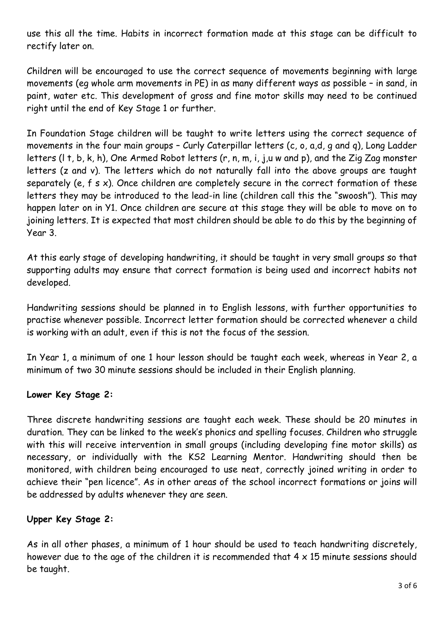use this all the time. Habits in incorrect formation made at this stage can be difficult to rectify later on.

Children will be encouraged to use the correct sequence of movements beginning with large movements (eg whole arm movements in PE) in as many different ways as possible – in sand, in paint, water etc. This development of gross and fine motor skills may need to be continued right until the end of Key Stage 1 or further.

In Foundation Stage children will be taught to write letters using the correct sequence of movements in the four main groups – Curly Caterpillar letters (c, o, a,d, g and q), Long Ladder letters (l t, b, k, h), One Armed Robot letters (r, n, m, i, j,u w and p), and the Zig Zag monster letters (z and v). The letters which do not naturally fall into the above groups are taught separately (e, f s x). Once children are completely secure in the correct formation of these letters they may be introduced to the lead-in line (children call this the "swoosh"). This may happen later on in Y1. Once children are secure at this stage they will be able to move on to joining letters. It is expected that most children should be able to do this by the beginning of Year 3.

At this early stage of developing handwriting, it should be taught in very small groups so that supporting adults may ensure that correct formation is being used and incorrect habits not developed.

Handwriting sessions should be planned in to English lessons, with further opportunities to practise whenever possible. Incorrect letter formation should be corrected whenever a child is working with an adult, even if this is not the focus of the session.

In Year 1, a minimum of one 1 hour lesson should be taught each week, whereas in Year 2, a minimum of two 30 minute sessions should be included in their English planning.

# **Lower Key Stage 2:**

Three discrete handwriting sessions are taught each week. These should be 20 minutes in duration. They can be linked to the week's phonics and spelling focuses. Children who struggle with this will receive intervention in small groups (including developing fine motor skills) as necessary, or individually with the KS2 Learning Mentor. Handwriting should then be monitored, with children being encouraged to use neat, correctly joined writing in order to achieve their "pen licence". As in other areas of the school incorrect formations or joins will be addressed by adults whenever they are seen.

## **Upper Key Stage 2:**

As in all other phases, a minimum of 1 hour should be used to teach handwriting discretely, however due to the age of the children it is recommended that  $4 \times 15$  minute sessions should be taught.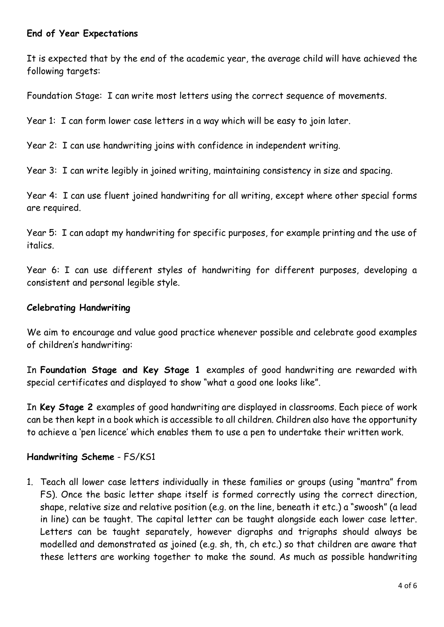## **End of Year Expectations**

It is expected that by the end of the academic year, the average child will have achieved the following targets:

Foundation Stage: I can write most letters using the correct sequence of movements.

Year 1: I can form lower case letters in a way which will be easy to join later.

Year 2: I can use handwriting joins with confidence in independent writing.

Year 3: I can write legibly in joined writing, maintaining consistency in size and spacing.

Year 4: I can use fluent joined handwriting for all writing, except where other special forms are required.

Year 5: I can adapt my handwriting for specific purposes, for example printing and the use of italics.

Year 6: I can use different styles of handwriting for different purposes, developing a consistent and personal legible style.

### **Celebrating Handwriting**

We aim to encourage and value good practice whenever possible and celebrate good examples of children's handwriting:

In **Foundation Stage and Key Stage 1** examples of good handwriting are rewarded with special certificates and displayed to show "what a good one looks like".

In **Key Stage 2** examples of good handwriting are displayed in classrooms. Each piece of work can be then kept in a book which is accessible to all children. Children also have the opportunity to achieve a 'pen licence' which enables them to use a pen to undertake their written work.

### **Handwriting Scheme** - FS/KS1

1. Teach all lower case letters individually in these families or groups (using "mantra" from FS). Once the basic letter shape itself is formed correctly using the correct direction, shape, relative size and relative position (e.g. on the line, beneath it etc.) a "swoosh" (a lead in line) can be taught. The capital letter can be taught alongside each lower case letter. Letters can be taught separately, however digraphs and trigraphs should always be modelled and demonstrated as joined (e.g. sh, th, ch etc.) so that children are aware that these letters are working together to make the sound. As much as possible handwriting